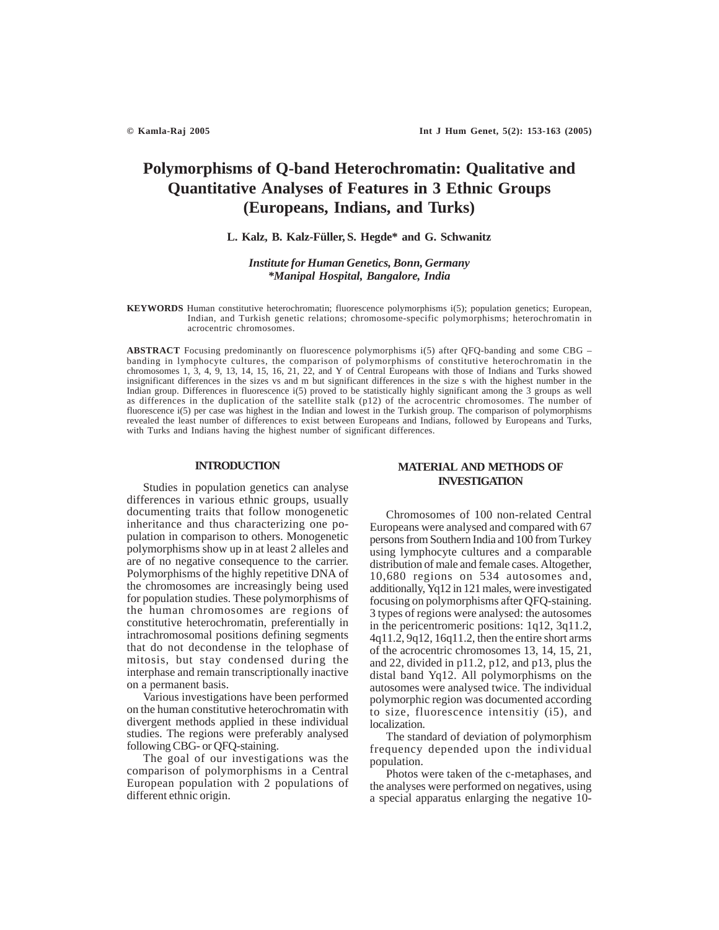# **Polymorphisms of Q-band Heterochromatin: Qualitative and Quantitative Analyses of Features in 3 Ethnic Groups (Europeans, Indians, and Turks)**

#### **L. Kalz, B. Kalz-Füller, S. Hegde\* and G. Schwanitz**

## *Institute for Human Genetics, Bonn, Germany \*Manipal Hospital, Bangalore, India*

**KEYWORDS** Human constitutive heterochromatin; fluorescence polymorphisms i(5); population genetics; European, Indian, and Turkish genetic relations; chromosome-specific polymorphisms; heterochromatin in acrocentric chromosomes.

**ABSTRACT** Focusing predominantly on fluorescence polymorphisms i(5) after QFQ-banding and some CBG – banding in lymphocyte cultures, the comparison of polymorphisms of constitutive heterochromatin in the chromosomes 1, 3, 4, 9, 13, 14, 15, 16, 21, 22, and Y of Central Europeans with those of Indians and Turks showed insignificant differences in the sizes vs and m but significant differences in the size s with the highest number in the Indian group. Differences in fluorescence i(5) proved to be statistically highly significant among the 3 groups as well as differences in the duplication of the satellite stalk (p12) of the acrocentric chromosomes. The number of fluorescence i(5) per case was highest in the Indian and lowest in the Turkish group. The comparison of polymorphisms revealed the least number of differences to exist between Europeans and Indians, followed by Europeans and Turks, with Turks and Indians having the highest number of significant differences.

## **INTRODUCTION**

Studies in population genetics can analyse differences in various ethnic groups, usually documenting traits that follow monogenetic inheritance and thus characterizing one population in comparison to others. Monogenetic polymorphisms show up in at least 2 alleles and are of no negative consequence to the carrier. Polymorphisms of the highly repetitive DNA of the chromosomes are increasingly being used for population studies. These polymorphisms of the human chromosomes are regions of constitutive heterochromatin, preferentially in intrachromosomal positions defining segments that do not decondense in the telophase of mitosis, but stay condensed during the interphase and remain transcriptionally inactive on a permanent basis.

Various investigations have been performed on the human constitutive heterochromatin with divergent methods applied in these individual studies. The regions were preferably analysed following CBG- or QFQ-staining.

The goal of our investigations was the comparison of polymorphisms in a Central European population with 2 populations of different ethnic origin.

## **MATERIAL AND METHODS OF INVESTIGATION**

Chromosomes of 100 non-related Central Europeans were analysed and compared with 67 persons from Southern India and 100 from Turkey using lymphocyte cultures and a comparable distribution of male and female cases. Altogether, 10,680 regions on 534 autosomes and, additionally, Yq12 in 121 males, were investigated focusing on polymorphisms after QFQ-staining. 3 types of regions were analysed: the autosomes in the pericentromeric positions: 1q12, 3q11.2, 4q11.2, 9q12, 16q11.2, then the entire short arms of the acrocentric chromosomes 13, 14, 15, 21, and 22, divided in p11.2, p12, and p13, plus the distal band Yq12. All polymorphisms on the autosomes were analysed twice. The individual polymorphic region was documented according to size, fluorescence intensitiy (i5), and localization.

The standard of deviation of polymorphism frequency depended upon the individual population.

Photos were taken of the c-metaphases, and the analyses were performed on negatives, using a special apparatus enlarging the negative 10-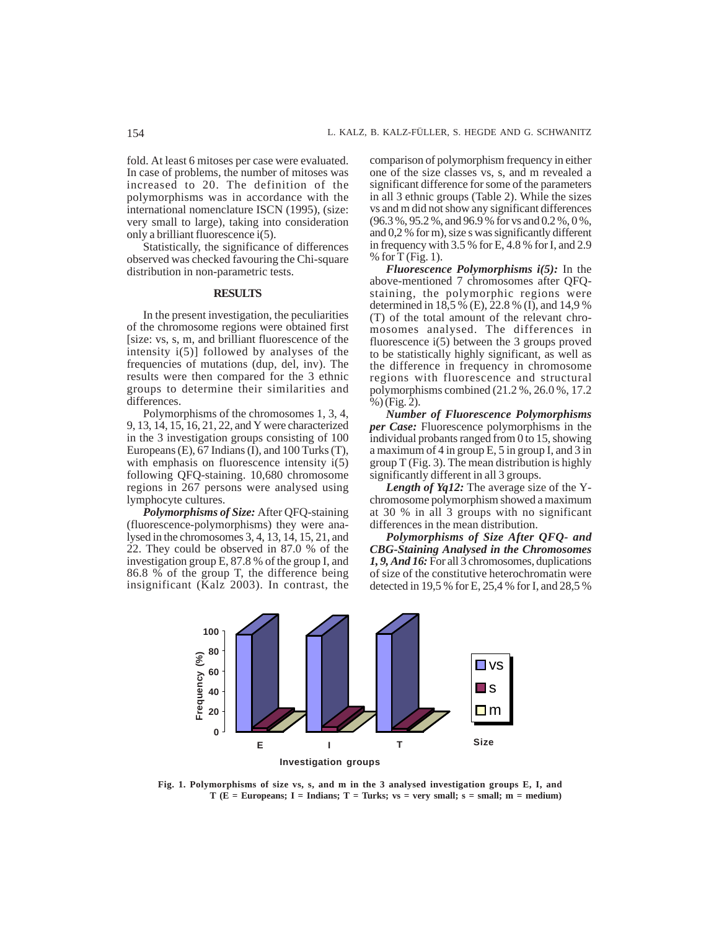fold. At least 6 mitoses per case were evaluated. In case of problems, the number of mitoses was increased to 20. The definition of the polymorphisms was in accordance with the international nomenclature ISCN (1995), (size: very small to large), taking into consideration only a brilliant fluorescence i(5).

Statistically, the significance of differences observed was checked favouring the Chi-square distribution in non-parametric tests.

#### **RESULTS**

In the present investigation, the peculiarities of the chromosome regions were obtained first [size: vs, s, m, and brilliant fluorescence of the intensity i(5)] followed by analyses of the frequencies of mutations (dup, del, inv). The results were then compared for the 3 ethnic groups to determine their similarities and differences.

Polymorphisms of the chromosomes 1, 3, 4, 9, 13, 14, 15, 16, 21, 22, and Y were characterized in the 3 investigation groups consisting of 100 Europeans (E), 67 Indians (I), and 100 Turks (T), with emphasis on fluorescence intensity  $i(5)$ following QFQ-staining. 10,680 chromosome regions in 267 persons were analysed using lymphocyte cultures.

*Polymorphisms of Size:* After QFQ-staining (fluorescence-polymorphisms) they were analysed in the chromosomes 3, 4, 13, 14, 15, 21, and 22. They could be observed in 87.0 % of the investigation group E, 87.8 % of the group I, and 86.8 % of the group T, the difference being insignificant (Kalz 2003). In contrast, the comparison of polymorphism frequency in either one of the size classes vs, s, and m revealed a significant difference for some of the parameters in all 3 ethnic groups (Table 2). While the sizes vs and m did not show any significant differences (96.3 %, 95.2 %, and 96.9 % for vs and 0.2 %, 0 %, and 0,2 % for m), size s was significantly different in frequency with 3.5 % for E, 4.8 % for I, and 2.9  $%$  for T (Fig. 1).

*Fluorescence Polymorphisms i(5):* In the above-mentioned 7 chromosomes after QFQstaining, the polymorphic regions were determined in 18,5 % (E), 22.8 % (I), and 14,9 % (T) of the total amount of the relevant chromosomes analysed. The differences in fluorescence i(5) between the 3 groups proved to be statistically highly significant, as well as the difference in frequency in chromosome regions with fluorescence and structural polymorphisms combined (21.2 %, 26.0 %, 17.2 %) (Fig. 2).

*Number of Fluorescence Polymorphisms per Case:* Fluorescence polymorphisms in the individual probants ranged from 0 to 15, showing a maximum of 4 in group E, 5 in group I, and 3 in group T (Fig. 3). The mean distribution is highly significantly different in all 3 groups.

*Length of Yq12:* The average size of the Ychromosome polymorphism showed a maximum at 30 % in all 3 groups with no significant differences in the mean distribution.

*Polymorphisms of Size After QFQ- and CBG-Staining Analysed in the Chromosomes 1, 9, And 16:* For all 3 chromosomes, duplications of size of the constitutive heterochromatin were detected in 19,5 % for E, 25,4 % for I, and 28,5 %



**Fig. 1. Polymorphisms of size vs, s, and m in the 3 analysed investigation groups E, I, and T (E = Europeans; I = Indians; T = Turks; vs = very small; s = small; m = medium)**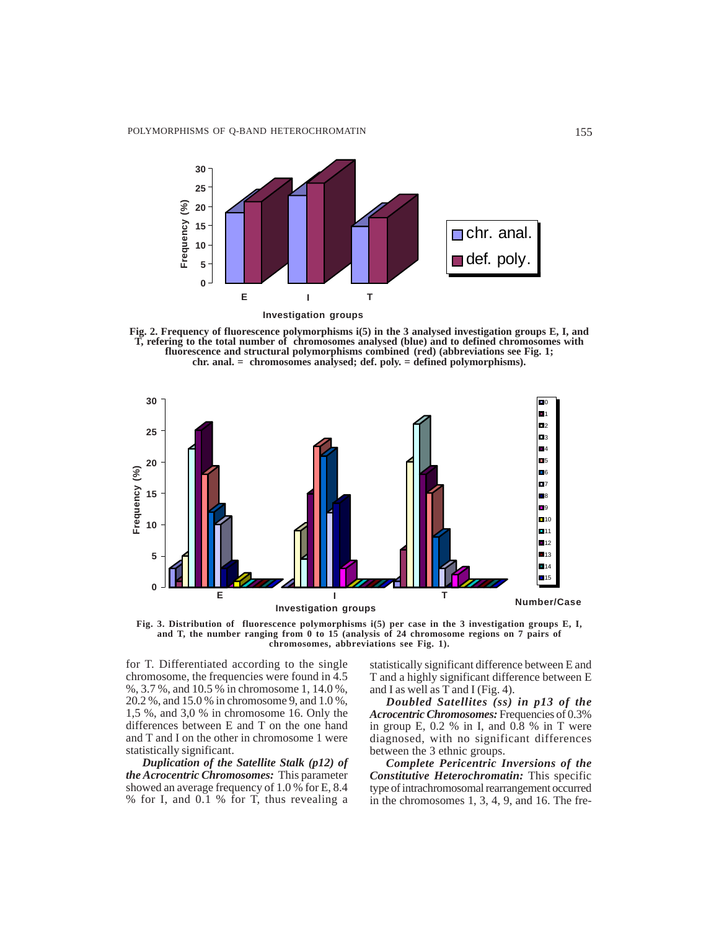

**Fig. 2. Frequency of fluorescence polymorphisms i(5) in the 3 analysed investigation groups E, I, and T, refering to the total number of chromosomes analysed (blue) and to defined chromosomes with fluorescence and structural polymorphisms combined (red) (abbreviations see Fig. 1; chr. anal. = chromosomes analysed; def. poly. = defined polymorphisms).**



**Fig. 3. Distribution of fluorescence polymorphisms i(5) per case in the 3 investigation groups E, I, and T, the number ranging from 0 to 15 (analysis of 24 chromosome regions on 7 pairs of chromosomes, abbreviations see Fig. 1).**

for T. Differentiated according to the single chromosome, the frequencies were found in 4.5 %, 3.7 %, and 10.5 % in chromosome 1, 14.0 %, 20.2 %, and 15.0 % in chromosome 9, and 1.0 %, 1,5 %, and 3,0 % in chromosome 16. Only the differences between E and T on the one hand and T and I on the other in chromosome 1 were statistically significant.

*Duplication of the Satellite Stalk (p12) of the Acrocentric Chromosomes:* This parameter showed an average frequency of 1.0 % for E, 8.4 % for I, and 0.1 % for T, thus revealing a statistically significant difference between E and T and a highly significant difference between E and I as well as T and I (Fig. 4).

*Doubled Satellites (ss) in p13 of the Acrocentric Chromosomes:* Frequencies of 0.3% in group E, 0.2 % in I, and 0.8 % in T were diagnosed, with no significant differences between the 3 ethnic groups.

*Complete Pericentric Inversions of the Constitutive Heterochromatin:* This specific type of intrachromosomal rearrangement occurred in the chromosomes 1, 3, 4, 9, and 16. The fre-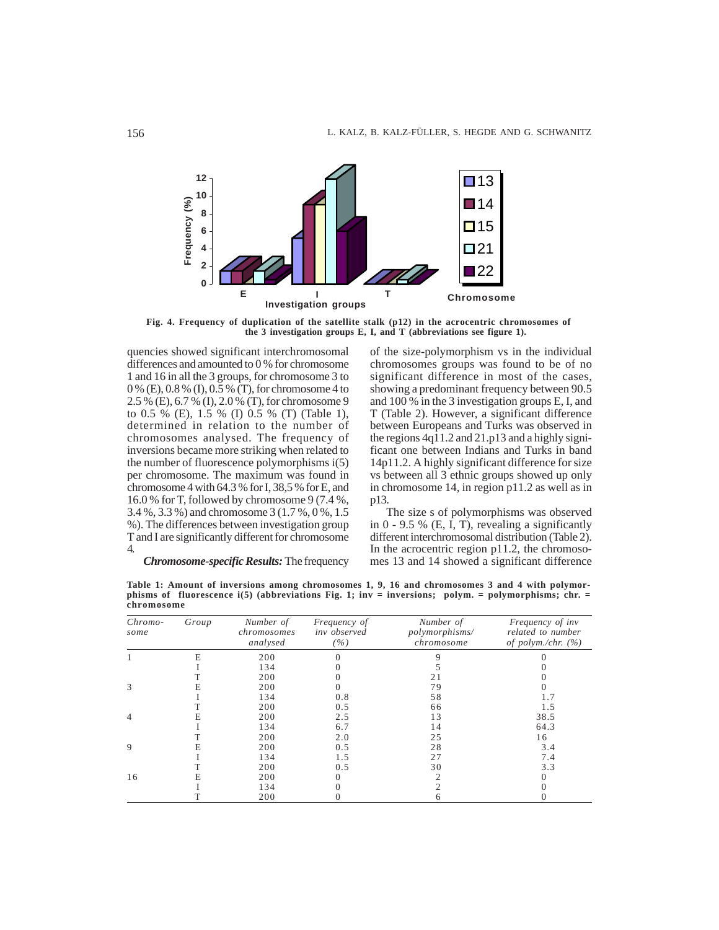

**Fig. 4. Frequency of duplication of the satellite stalk (p12) in the acrocentric chromosomes of the 3 investigation groups E, I, and T (abbreviations see figure 1).**

quencies showed significant interchromosomal differences and amounted to 0 % for chromosome 1 and 16 in all the 3 groups, for chromosome 3 to 0 % (E), 0.8 % (I), 0.5 % (T), for chromosome 4 to 2.5 % (E), 6.7 % (I), 2.0 % (T), for chromosome 9 to 0.5 % (E), 1.5 % (I) 0.5 % (T) (Table 1), determined in relation to the number of chromosomes analysed. The frequency of inversions became more striking when related to the number of fluorescence polymorphisms i(5) per chromosome. The maximum was found in chromosome 4 with 64.3 % for I, 38,5 % for E, and 16.0 % for T, followed by chromosome 9 (7.4 %, 3.4 %, 3.3 %) and chromosome 3 (1.7 %, 0 %, 1.5 %). The differences between investigation group T and I are significantly different for chromosome 4.

of the size-polymorphism vs in the individual chromosomes groups was found to be of no significant difference in most of the cases, showing a predominant frequency between 90.5 and 100 % in the 3 investigation groups E, I, and T (Table 2). However, a significant difference between Europeans and Turks was observed in the regions  $4q\overline{1}1.2$  and  $21.p13$  and a highly significant one between Indians and Turks in band 14p11.2. A highly significant difference for size vs between all 3 ethnic groups showed up only in chromosome 14, in region p11.2 as well as in p13.

The size s of polymorphisms was observed in 0 - 9.5 % (E, I, T), revealing a significantly different interchromosomal distribution (Table 2). In the acrocentric region p11.2, the chromosomes 13 and 14 showed a significant difference

*Chromosome-specific Results:* The frequency

**Table 1: Amount of inversions among chromosomes 1, 9, 16 and chromosomes 3 and 4 with polymorphisms of fluorescence i(5) (abbreviations Fig. 1; inv = inversions; polym. = polymorphisms; chr. = chromosome**

| Chromo-<br>some | Group | Number of<br>chromosomes<br>analysed | Frequency of<br>inv observed<br>( %) | Number of<br>polymorphisms/<br>chromosome | Frequency of inv<br>related to number<br>of polym./chr. $(%)$ |
|-----------------|-------|--------------------------------------|--------------------------------------|-------------------------------------------|---------------------------------------------------------------|
|                 | E     | 200                                  |                                      |                                           |                                                               |
|                 |       | 134                                  |                                      |                                           |                                                               |
|                 |       | 200                                  |                                      | 21                                        |                                                               |
| 3               | E     | 200                                  |                                      | 79                                        |                                                               |
|                 |       | 134                                  | 0.8                                  | 58                                        |                                                               |
|                 |       | 200                                  | 0.5                                  | 66                                        | 1.5                                                           |
| 4               |       | 200                                  | 2.5                                  | 13                                        | 38.5                                                          |
|                 |       | 134                                  | 6.7                                  | 14                                        | 64.3                                                          |
|                 |       | 200                                  | 2.0                                  | 25                                        | 16                                                            |
| 9               | F.    | 200                                  | 0.5                                  | 28                                        | 3.4                                                           |
|                 |       | 134                                  | 1.5                                  | 27                                        | 7.4                                                           |
|                 |       | 200                                  | 0.5                                  | 30                                        | 3.3                                                           |
| 16              | E     | 200                                  |                                      |                                           |                                                               |
|                 |       | 134                                  |                                      |                                           |                                                               |
|                 |       | 200                                  |                                      |                                           |                                                               |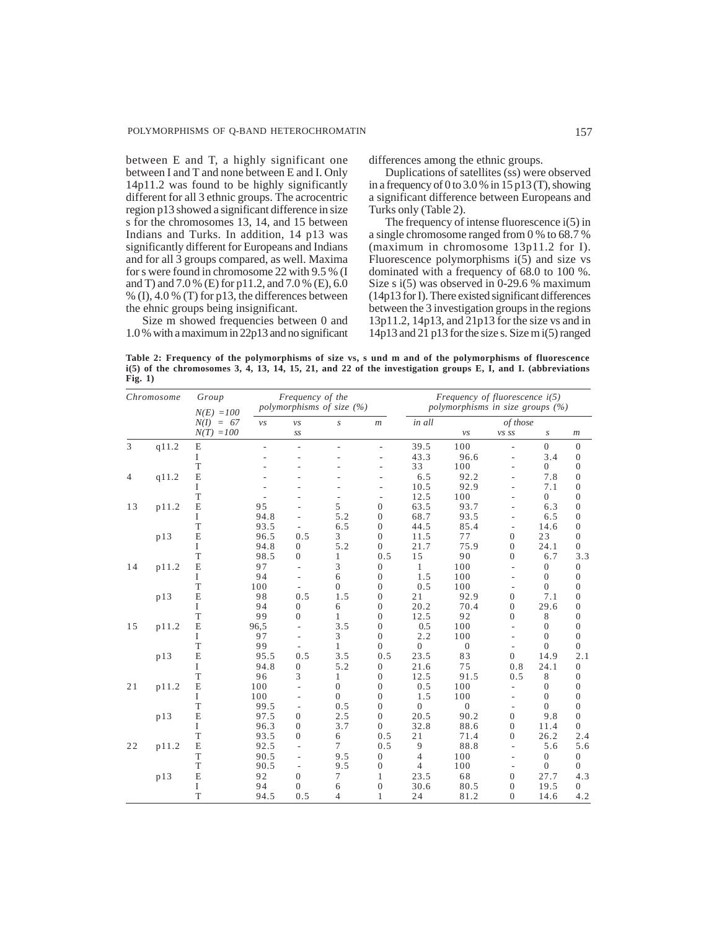between E and T, a highly significant one between I and T and none between E and I. Only 14p11.2 was found to be highly significantly different for all 3 ethnic groups. The acrocentric region p13 showed a significant difference in size s for the chromosomes 13, 14, and 15 between Indians and Turks. In addition, 14 p13 was significantly different for Europeans and Indians and for all 3 groups compared, as well. Maxima for s were found in chromosome 22 with 9.5 % (I and T) and 7.0 % (E) for p11.2, and 7.0 % (E), 6.0 % (I), 4.0 % (T) for p13, the differences between the ehnic groups being insignificant.

Size m showed frequencies between 0 and 1.0 % with a maximum in 22p13 and no significant differences among the ethnic groups.

Duplications of satellites (ss) were observed in a frequency of 0 to 3.0 % in 15 p13 (T), showing a significant difference between Europeans and Turks only (Table 2).

The frequency of intense fluorescence i(5) in a single chromosome ranged from 0 % to 68.7 % (maximum in chromosome 13p11.2 for I). Fluorescence polymorphisms  $i(5)$  and size vs dominated with a frequency of 68.0 to 100 %. Size s i(5) was observed in 0-29.6 % maximum (14p13 for I). There existed significant differences between the 3 investigation groups in the regions 13p11.2, 14p13, and 21p13 for the size vs and in 14p13 and 21 p13 for the size s. Size m i(5) ranged

**Table 2: Frequency of the polymorphisms of size vs, s und m and of the polymorphisms of fluorescence i(5) of the chromosomes 3, 4, 13, 14, 15, 21, and 22 of the investigation groups E, I, and I. (abbreviations Fig. 1)**

| Chromosome |       | Group<br>$N(E) = 100$ |                  | Frequency of the | polymorphisms of size (%) |                          | Frequency of fluorescence $i(5)$<br>polymorphisms in size groups (%) |                |                          |                |                  |  |  |
|------------|-------|-----------------------|------------------|------------------|---------------------------|--------------------------|----------------------------------------------------------------------|----------------|--------------------------|----------------|------------------|--|--|
|            |       | $N(I) = 67$           | ${\mathcal V} S$ | ${\mathcal V} S$ | $\boldsymbol{S}$          | m                        | in all                                                               | of those       |                          |                |                  |  |  |
|            |       | $N(T) = 100$          |                  | SS               |                           |                          |                                                                      | νs             | vs ss                    | S              | $\boldsymbol{m}$ |  |  |
| 3          | q11.2 | $\mathbf E$           |                  | L,               |                           | $\overline{\phantom{a}}$ | 39.5                                                                 | 100            | $\overline{\phantom{a}}$ | $\overline{0}$ | $\mathbf{0}$     |  |  |
|            |       | I                     |                  |                  |                           |                          | 43.3                                                                 | 96.6           |                          | 3.4            | $\mathbf{0}$     |  |  |
|            |       | T                     |                  |                  |                           | L,                       | 33                                                                   | 100            | $\overline{a}$           | $\overline{0}$ | $\overline{0}$   |  |  |
| q11.2<br>4 |       | E                     |                  |                  |                           |                          | 6.5                                                                  | 92.2           |                          | 7.8            | $\mathbf{0}$     |  |  |
|            |       | I                     |                  |                  |                           | ÷,                       | 10.5                                                                 | 92.9           |                          | 7.1            | $\mathbf{0}$     |  |  |
|            |       | T                     |                  |                  |                           | $\overline{a}$           | 12.5                                                                 | 100            |                          | $\overline{0}$ | $\mathbf{0}$     |  |  |
| 13         | p11.2 | $\mathbf E$           | 95               |                  | 5                         | $\mathbf{0}$             | 63.5                                                                 | 93.7           |                          | 6.3            | $\mathbf{0}$     |  |  |
|            |       | I                     | 94.8             |                  | 5.2                       | $\mathbf{0}$             | 68.7                                                                 | 93.5           |                          | 6.5            | $\overline{0}$   |  |  |
|            |       | $\mathbf T$           | 93.5             |                  | 6.5                       | $\mathbf{0}$             | 44.5                                                                 | 85.4           |                          | 14.6           | $\boldsymbol{0}$ |  |  |
|            | p13   | E                     | 96.5             | 0.5              | 3                         | $\theta$                 | 11.5                                                                 | 77             | $\overline{0}$           | 23             | $\overline{0}$   |  |  |
|            |       | I                     | 94.8             | $\overline{0}$   | 5.2                       | $\mathbf{0}$             | 21.7                                                                 | 75.9           | $\overline{0}$           | 24.1           | $\theta$         |  |  |
|            |       | $\mathbf T$           | 98.5             | $\overline{0}$   | 1                         | 0.5                      | 15                                                                   | 90             | $\boldsymbol{0}$         | 6.7            | 3.3              |  |  |
| 14         | p11.2 | E                     | 97               | $\overline{a}$   | 3                         | $\mathbf{0}$             | 1                                                                    | 100            | $\overline{\phantom{a}}$ | $\theta$       | $\theta$         |  |  |
|            |       | $\mathbf I$           | 94               |                  | 6                         | $\mathbf{0}$             | 1.5                                                                  | 100            | $\overline{a}$           | $\overline{0}$ | $\overline{0}$   |  |  |
|            |       | T                     | 100              |                  | $\overline{0}$            | $\mathbf{0}$             | 0.5                                                                  | 100            |                          | $\overline{0}$ | $\overline{0}$   |  |  |
|            | p13   | $\mathbf E$           | 98               | 0.5              | 1.5                       | $\overline{0}$           | 21                                                                   | 92.9           | $\overline{0}$           | 7.1            | $\overline{0}$   |  |  |
|            |       | $\mathbf I$           | 94               | $\overline{0}$   | 6                         | $\Omega$                 | 20.2                                                                 | 70.4           | $\overline{0}$           | 29.6           | $\overline{0}$   |  |  |
|            |       | T                     | 99               | $\Omega$         | 1                         | $\mathbf{0}$             | 12.5                                                                 | 92             | $\overline{0}$           | 8              | $\theta$         |  |  |
| 15         | p11.2 | E                     | 96,5             | $\overline{a}$   | 3.5                       | $\overline{0}$           | 0.5                                                                  | 100            | $\overline{\phantom{a}}$ | $\overline{0}$ | $\overline{0}$   |  |  |
|            |       | $\mathbf{I}$          | 97               |                  | 3                         | $\mathbf{0}$             | 2.2                                                                  | 100            | $\overline{a}$           | $\overline{0}$ | $\boldsymbol{0}$ |  |  |
|            |       | T                     | 99               |                  | 1                         | $\mathbf{0}$             | $\overline{0}$                                                       | $\overline{0}$ | $\overline{\phantom{a}}$ | $\theta$       | $\theta$         |  |  |
|            | p13   | E                     | 95.5             | 0.5              | 3.5                       | 0.5                      | 23.5                                                                 | 83             | $\Omega$                 | 14.9           | 2.1              |  |  |
|            |       | $\mathbf{I}$          | 94.8             | $\overline{0}$   | 5.2                       | $\mathbf{0}$             | 21.6                                                                 | 75             | 0.8                      | 24.1           | $\overline{0}$   |  |  |
|            |       | T                     | 96               | 3                | 1                         | $\mathbf{0}$             | 12.5                                                                 | 91.5           | 0.5                      | 8              | $\overline{0}$   |  |  |
| 21         | p11.2 | $\mathbf E$           | 100              |                  | $\mathbf{0}$              | $\mathbf{0}$             | 0.5                                                                  | 100            |                          | $\overline{0}$ | $\boldsymbol{0}$ |  |  |
|            |       | $\mathbf I$           | 100              |                  | $\theta$                  | $\overline{0}$           | 1.5                                                                  | 100            | $\overline{a}$           | $\overline{0}$ | $\overline{0}$   |  |  |
|            |       | T                     | 99.5             | L,               | 0.5                       | $\Omega$                 | $\overline{0}$                                                       | $\Omega$       | $\overline{\phantom{a}}$ | $\theta$       | $\overline{0}$   |  |  |
|            | p13   | E                     | 97.5             | $\theta$         | 2.5                       | $\Omega$                 | 20.5                                                                 | 90.2           | $\overline{0}$           | 9.8            | $\overline{0}$   |  |  |
|            |       | $\mathbf{I}$          | 96.3             | $\boldsymbol{0}$ | 3.7                       | $\overline{0}$           | 32.8                                                                 | 88.6           | $\boldsymbol{0}$         | 11.4           | $\overline{0}$   |  |  |
|            |       | T                     | 93.5             | $\mathbf{0}$     | 6                         | 0.5                      | 21                                                                   | 71.4           | $\boldsymbol{0}$         | 26.2           | 2.4              |  |  |
| 22         | p11.2 | $\mathbf E$           | 92.5             | $\overline{a}$   | 7                         | 0.5                      | 9                                                                    | 88.8           | L,                       | 5.6            | 5.6              |  |  |
|            |       | T                     | 90.5             | ٠                | 9.5                       | $\mathbf{0}$             | $\overline{4}$                                                       | 100            | $\overline{a}$           | $\overline{0}$ | $\theta$         |  |  |
|            |       | T                     | 90.5             | L,               | 9.5                       | $\mathbf{0}$             | $\overline{4}$                                                       | 100            |                          | $\overline{0}$ | $\theta$         |  |  |
|            | p13   | $\mathbf E$           | 92               | $\overline{0}$   | 7                         | 1                        | 23.5                                                                 | 68             | $\boldsymbol{0}$         | 27.7           | 4.3              |  |  |
|            |       | I                     | 94               | $\Omega$         | 6                         | $\mathbf{0}$             | 30.6                                                                 | 80.5           | $\boldsymbol{0}$         | 19.5           | $\overline{0}$   |  |  |
|            |       | T                     | 94.5             | 0.5              | $\overline{4}$            | 1                        | 24                                                                   | 81.2           | $\overline{0}$           | 14.6           | 4.2              |  |  |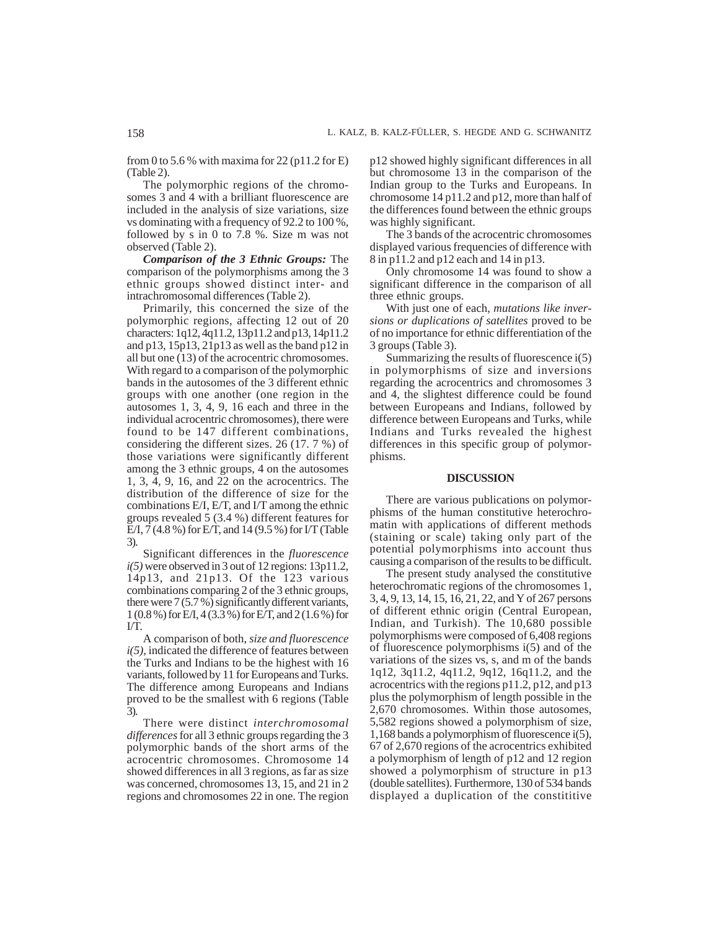from 0 to 5.6 % with maxima for 22 ( $p11.2$  for E) (Table 2).

The polymorphic regions of the chromosomes 3 and 4 with a brilliant fluorescence are included in the analysis of size variations, size vs dominating with a frequency of 92.2 to 100 %, followed by s in 0 to 7.8 %. Size m was not observed (Table 2).

*Comparison of the 3 Ethnic Groups:* The comparison of the polymorphisms among the 3 ethnic groups showed distinct inter- and intrachromosomal differences (Table 2).

Primarily, this concerned the size of the polymorphic regions, affecting 12 out of 20 characters: 1q12, 4q11.2, 13p11.2 and p13, 14p11.2 and p13, 15p13, 21p13 as well as the band p12 in all but one (13) of the acrocentric chromosomes. With regard to a comparison of the polymorphic bands in the autosomes of the 3 different ethnic groups with one another (one region in the autosomes 1, 3, 4, 9, 16 each and three in the individual acrocentric chromosomes), there were found to be 147 different combinations, considering the different sizes. 26 (17. 7 %) of those variations were significantly different among the 3 ethnic groups, 4 on the autosomes 1, 3, 4, 9, 16, and 22 on the acrocentrics. The distribution of the difference of size for the combinations E/I, E/T, and I/T among the ethnic groups revealed 5 (3.4 %) different features for E/I, 7 (4.8 %) for E/T, and 14 (9.5 %) for I/T (Table 3).

Significant differences in the *fluorescence i(5)* were observed in 3 out of 12 regions: 13p11.2, 14p13, and 21p13. Of the 123 various combinations comparing 2 of the 3 ethnic groups, there were  $7(5.7\%)$  significantly different variants, 1 (0.8 %) for E/I, 4 (3.3 %) for E/T, and 2 (1.6 %) for I/T.

A comparison of both, *size and fluorescence i(5),* indicated the difference of features between the Turks and Indians to be the highest with 16 variants, followed by 11 for Europeans and Turks. The difference among Europeans and Indians proved to be the smallest with 6 regions (Table 3).

There were distinct *interchromosomal differences* for all 3 ethnic groups regarding the 3 polymorphic bands of the short arms of the acrocentric chromosomes. Chromosome 14 showed differences in all 3 regions, as far as size was concerned, chromosomes 13, 15, and 21 in 2 regions and chromosomes 22 in one. The region

p12 showed highly significant differences in all but chromosome 13 in the comparison of the Indian group to the Turks and Europeans. In chromosome 14 p11.2 and p12, more than half of the differences found between the ethnic groups was highly significant.

The 3 bands of the acrocentric chromosomes displayed various frequencies of difference with 8 in p11.2 and p12 each and 14 in p13.

Only chromosome 14 was found to show a significant difference in the comparison of all three ethnic groups.

With just one of each, *mutations like inversions or duplications of satellites* proved to be of no importance for ethnic differentiation of the 3 groups (Table 3).

Summarizing the results of fluorescence i(5) in polymorphisms of size and inversions regarding the acrocentrics and chromosomes 3 and 4, the slightest difference could be found between Europeans and Indians, followed by difference between Europeans and Turks, while Indians and Turks revealed the highest differences in this specific group of polymorphisms.

#### **DISCUSSION**

There are various publications on polymorphisms of the human constitutive heterochromatin with applications of different methods (staining or scale) taking only part of the potential polymorphisms into account thus causing a comparison of the results to be difficult.

The present study analysed the constitutive heterochromatic regions of the chromosomes 1, 3, 4, 9, 13, 14, 15, 16, 21, 22, and Y of 267 persons of different ethnic origin (Central European, Indian, and Turkish). The 10,680 possible polymorphisms were composed of 6,408 regions of fluorescence polymorphisms i(5) and of the variations of the sizes vs, s, and m of the bands 1q12, 3q11.2, 4q11.2, 9q12, 16q11.2, and the acrocentrics with the regions p11.2, p12, and p13 plus the polymorphism of length possible in the 2,670 chromosomes. Within those autosomes, 5,582 regions showed a polymorphism of size, 1,168 bands a polymorphism of fluorescence i(5), 67 of 2,670 regions of the acrocentrics exhibited a polymorphism of length of p12 and 12 region showed a polymorphism of structure in p13 (double satellites). Furthermore, 130 of 534 bands displayed a duplication of the constititive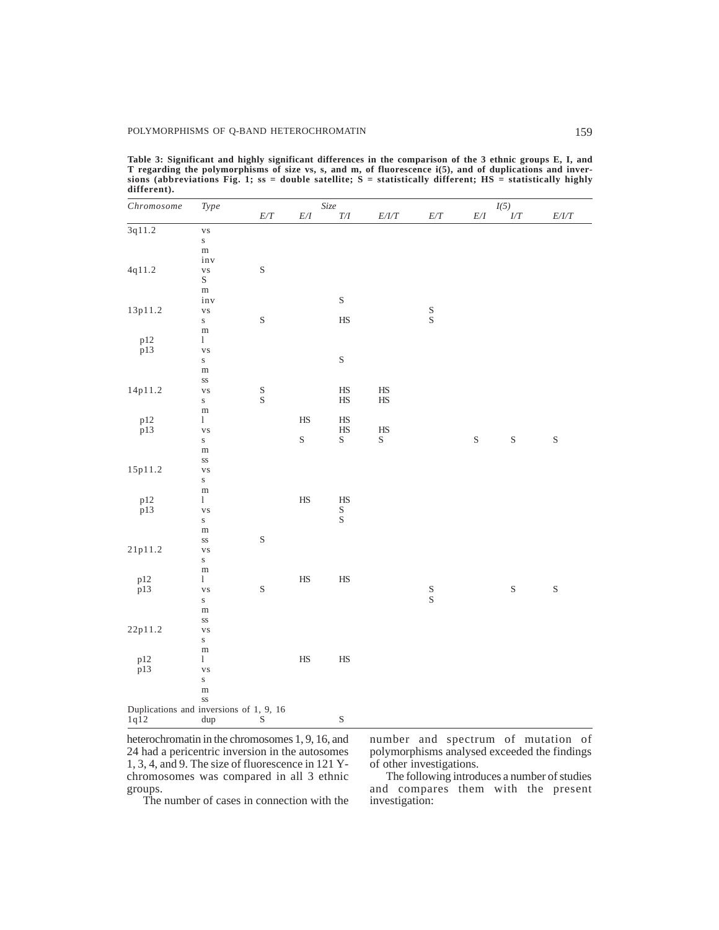| Chromosome                              | $\mathcal{Type}$            |             |                 | Size                 |                                                 | I(5)                  |                                      |                 |             |  |  |
|-----------------------------------------|-----------------------------|-------------|-----------------|----------------------|-------------------------------------------------|-----------------------|--------------------------------------|-----------------|-------------|--|--|
|                                         |                             | $E\slash T$ | $E\slash\cal I$ | $\mathcal{T}/I$      | $E\slash\hspace{-0.1cm}I\slash\hspace{-0.1cm}T$ | $E\slash T$           | $E\slash\ensuremath{\mathnormal{I}}$ | $\overline{LT}$ | $E/ I/T$    |  |  |
| 3q11.2                                  | $\overline{\mathbf{v}}$ s   |             |                 |                      |                                                 |                       |                                      |                 |             |  |  |
|                                         | $\bf S$                     |             |                 |                      |                                                 |                       |                                      |                 |             |  |  |
|                                         | ${\bf m}$                   |             |                 |                      |                                                 |                       |                                      |                 |             |  |  |
|                                         | inv                         |             |                 |                      |                                                 |                       |                                      |                 |             |  |  |
| 4q11.2                                  | vs<br>S                     | $\mathbf S$ |                 |                      |                                                 |                       |                                      |                 |             |  |  |
|                                         |                             |             |                 |                      |                                                 |                       |                                      |                 |             |  |  |
|                                         | ${\rm m}$                   |             |                 |                      |                                                 |                       |                                      |                 |             |  |  |
| 13p11.2                                 | inv                         |             |                 | $\mathbf S$          |                                                 |                       |                                      |                 |             |  |  |
|                                         | $_{\rm VS}$                 | $\mathbf S$ |                 | $\rm HS$             |                                                 | $\mathop{\mathrm{S}}$ |                                      |                 |             |  |  |
|                                         | $\bf S$                     |             |                 |                      |                                                 |                       |                                      |                 |             |  |  |
| p12                                     | $\rm m$<br>$\mathbf{1}$     |             |                 |                      |                                                 |                       |                                      |                 |             |  |  |
| p13                                     | $_{\rm VS}$                 |             |                 |                      |                                                 |                       |                                      |                 |             |  |  |
|                                         | $\bf S$                     |             |                 | $\mathbf S$          |                                                 |                       |                                      |                 |             |  |  |
|                                         | m                           |             |                 |                      |                                                 |                       |                                      |                 |             |  |  |
|                                         | SS                          |             |                 |                      |                                                 |                       |                                      |                 |             |  |  |
| 14p11.2                                 | $_{\rm VS}$                 | $S_S$       |                 | $\rm HS$             | $\rm HS$                                        |                       |                                      |                 |             |  |  |
|                                         | $\bf S$                     |             |                 | HS                   | $\rm HS$                                        |                       |                                      |                 |             |  |  |
|                                         | m                           |             |                 |                      |                                                 |                       |                                      |                 |             |  |  |
| $p12$<br>$p13$                          | $\mathbf{1}$                |             | $\rm HS$        | $_{\rm HS}^{\rm HS}$ |                                                 |                       |                                      |                 |             |  |  |
|                                         | $_{\rm VS}$                 |             |                 |                      | $\rm HS$                                        |                       |                                      |                 |             |  |  |
|                                         | $\bf S$                     |             | $\rm S$         | $\mathbf S$          | $\rm S$                                         |                       | $\mathbf S$                          | $\mathbf S$     | $\mathbf S$ |  |  |
|                                         | $\, {\rm m}$                |             |                 |                      |                                                 |                       |                                      |                 |             |  |  |
| 15p11.2                                 | $_{\rm SS}$                 |             |                 |                      |                                                 |                       |                                      |                 |             |  |  |
|                                         | $_{\rm VS}$<br>$\bf S$      |             |                 |                      |                                                 |                       |                                      |                 |             |  |  |
|                                         | ${\rm m}$                   |             |                 |                      |                                                 |                       |                                      |                 |             |  |  |
| p12                                     | $\mathbf{1}$                |             | $\rm HS$        | $\rm HS$             |                                                 |                       |                                      |                 |             |  |  |
| p13                                     | $_{\rm VS}$                 |             |                 |                      |                                                 |                       |                                      |                 |             |  |  |
|                                         | $\bf S$                     |             |                 | $_{\rm S}^{\rm S}$   |                                                 |                       |                                      |                 |             |  |  |
|                                         | ${\rm m}$                   |             |                 |                      |                                                 |                       |                                      |                 |             |  |  |
|                                         | $_{\rm SS}$                 | $\mathbf S$ |                 |                      |                                                 |                       |                                      |                 |             |  |  |
| 21p11.2                                 | $_{\rm VS}$                 |             |                 |                      |                                                 |                       |                                      |                 |             |  |  |
|                                         | ${\bf S}$                   |             |                 |                      |                                                 |                       |                                      |                 |             |  |  |
|                                         | ${\rm m}$                   |             |                 |                      |                                                 |                       |                                      |                 |             |  |  |
| p12                                     | $\mathbf{1}$                |             | $\rm HS$        | $\rm HS$             |                                                 |                       |                                      |                 |             |  |  |
| p13                                     | $_{\rm VS}$                 | $\mathbf S$ |                 |                      |                                                 | $S_S$                 |                                      | $\mathbf S$     | $\mathbf S$ |  |  |
|                                         | $\bf S$                     |             |                 |                      |                                                 |                       |                                      |                 |             |  |  |
|                                         | $\, {\rm m}$<br>$_{\rm SS}$ |             |                 |                      |                                                 |                       |                                      |                 |             |  |  |
| 22p11.2                                 | $_{\rm VS}$                 |             |                 |                      |                                                 |                       |                                      |                 |             |  |  |
|                                         | $\bf S$                     |             |                 |                      |                                                 |                       |                                      |                 |             |  |  |
|                                         | $\, {\rm m}$                |             |                 |                      |                                                 |                       |                                      |                 |             |  |  |
|                                         | $\mathbf{1}$                |             | $\rm HS$        | $\rm HS$             |                                                 |                       |                                      |                 |             |  |  |
| $_{\rm p13}^{\rm p12}$                  | $_{\rm VS}$                 |             |                 |                      |                                                 |                       |                                      |                 |             |  |  |
|                                         | $\bf S$                     |             |                 |                      |                                                 |                       |                                      |                 |             |  |  |
|                                         | ${\rm m}$                   |             |                 |                      |                                                 |                       |                                      |                 |             |  |  |
|                                         | SS                          |             |                 |                      |                                                 |                       |                                      |                 |             |  |  |
| Duplications and inversions of 1, 9, 16 |                             |             |                 |                      |                                                 |                       |                                      |                 |             |  |  |
| $1q\overline{1}2$                       | dup                         | S           |                 | $\mathbf S$          |                                                 |                       |                                      |                 |             |  |  |

**Table 3: Significant and highly significant differences in the comparison of the 3 ethnic groups E, I, and T regarding the polymorphisms of size vs, s, and m, of fluorescence i(5), and of duplications and inver**sions (abbreviations Fig. 1; ss = double satellite;  $S =$  statistically different;  $HS =$  statistically highly **different).**

heterochromatin in the chromosomes 1, 9, 16, and 24 had a pericentric inversion in the autosomes 1, 3, 4, and 9. The size of fluorescence in 121 Ychromosomes was compared in all 3 ethnic groups.

The number of cases in connection with the

number and spectrum of mutation of polymorphisms analysed exceeded the findings of other investigations.

The following introduces a number of studies and compares them with the present investigation: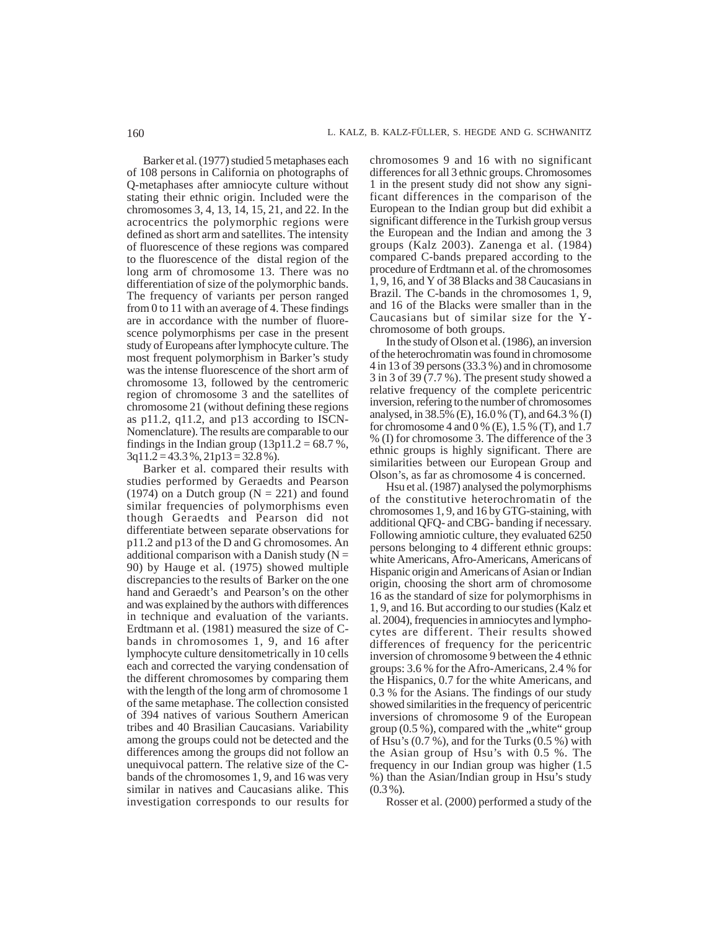Barker et al. (1977) studied 5 metaphases each of 108 persons in California on photographs of Q-metaphases after amniocyte culture without stating their ethnic origin. Included were the chromosomes 3, 4, 13, 14, 15, 21, and 22. In the acrocentrics the polymorphic regions were defined as short arm and satellites. The intensity of fluorescence of these regions was compared to the fluorescence of the distal region of the long arm of chromosome 13. There was no differentiation of size of the polymorphic bands. The frequency of variants per person ranged from 0 to 11 with an average of 4. These findings are in accordance with the number of fluorescence polymorphisms per case in the present study of Europeans after lymphocyte culture. The most frequent polymorphism in Barker's study was the intense fluorescence of the short arm of chromosome 13, followed by the centromeric region of chromosome 3 and the satellites of chromosome 21 (without defining these regions as p11.2, q11.2, and p13 according to ISCN-Nomenclature). The results are comparable to our findings in the Indian group  $(13p11.2 = 68.7 %$ , 3q11.2 = 43.3 %, 21p13 = 32.8 %).

Barker et al. compared their results with studies performed by Geraedts and Pearson (1974) on a Dutch group  $(N = 221)$  and found similar frequencies of polymorphisms even though Geraedts and Pearson did not differentiate between separate observations for p11.2 and p13 of the D and G chromosomes. An additional comparison with a Danish study ( $N =$ 90) by Hauge et al. (1975) showed multiple discrepancies to the results of Barker on the one hand and Geraedt's and Pearson's on the other and was explained by the authors with differences in technique and evaluation of the variants. Erdtmann et al. (1981) measured the size of Cbands in chromosomes 1, 9, and 16 after lymphocyte culture densitometrically in 10 cells each and corrected the varying condensation of the different chromosomes by comparing them with the length of the long arm of chromosome 1 of the same metaphase. The collection consisted of 394 natives of various Southern American tribes and 40 Brasilian Caucasians. Variability among the groups could not be detected and the differences among the groups did not follow an unequivocal pattern. The relative size of the Cbands of the chromosomes 1, 9, and 16 was very similar in natives and Caucasians alike. This investigation corresponds to our results for

chromosomes 9 and 16 with no significant differences for all 3 ethnic groups. Chromosomes 1 in the present study did not show any significant differences in the comparison of the European to the Indian group but did exhibit a significant difference in the Turkish group versus the European and the Indian and among the 3 groups (Kalz 2003). Zanenga et al. (1984) compared C-bands prepared according to the procedure of Erdtmann et al. of the chromosomes 1, 9, 16, and Y of 38 Blacks and 38 Caucasians in Brazil. The C-bands in the chromosomes 1, 9, and 16 of the Blacks were smaller than in the Caucasians but of similar size for the Ychromosome of both groups.

In the study of Olson et al. (1986), an inversion of the heterochromatin was found in chromosome 4 in 13 of 39 persons (33.3 %) and in chromosome 3 in 3 of 39 (7.7 %). The present study showed a relative frequency of the complete pericentric inversion, refering to the number of chromosomes analysed, in 38.5% (E), 16.0 % (T), and 64.3 % (I) for chromosome 4 and 0 % (E), 1.5 % (T), and 1.7 % (I) for chromosome 3. The difference of the 3 ethnic groups is highly significant. There are similarities between our European Group and Olson's, as far as chromosome 4 is concerned.

Hsu et al. (1987) analysed the polymorphisms of the constitutive heterochromatin of the chromosomes 1, 9, and 16 by GTG-staining, with additional QFQ- and CBG- banding if necessary. Following amniotic culture, they evaluated 6250 persons belonging to 4 different ethnic groups: white Americans, Afro-Americans, Americans of Hispanic origin and Americans of Asian or Indian origin, choosing the short arm of chromosome 16 as the standard of size for polymorphisms in 1, 9, and 16. But according to our studies (Kalz et al. 2004), frequencies in amniocytes and lymphocytes are different. Their results showed differences of frequency for the pericentric inversion of chromosome 9 between the 4 ethnic groups: 3.6 % for the Afro-Americans, 2.4 % for the Hispanics, 0.7 for the white Americans, and 0.3 % for the Asians. The findings of our study showed similarities in the frequency of pericentric inversions of chromosome 9 of the European group  $(0.5\%)$ , compared with the "white" group of Hsu's (0.7 %), and for the Turks (0.5 %) with the Asian group of Hsu's with 0.5 %. The frequency in our Indian group was higher (1.5 %) than the Asian/Indian group in Hsu's study  $(0.3\%).$ 

Rosser et al. (2000) performed a study of the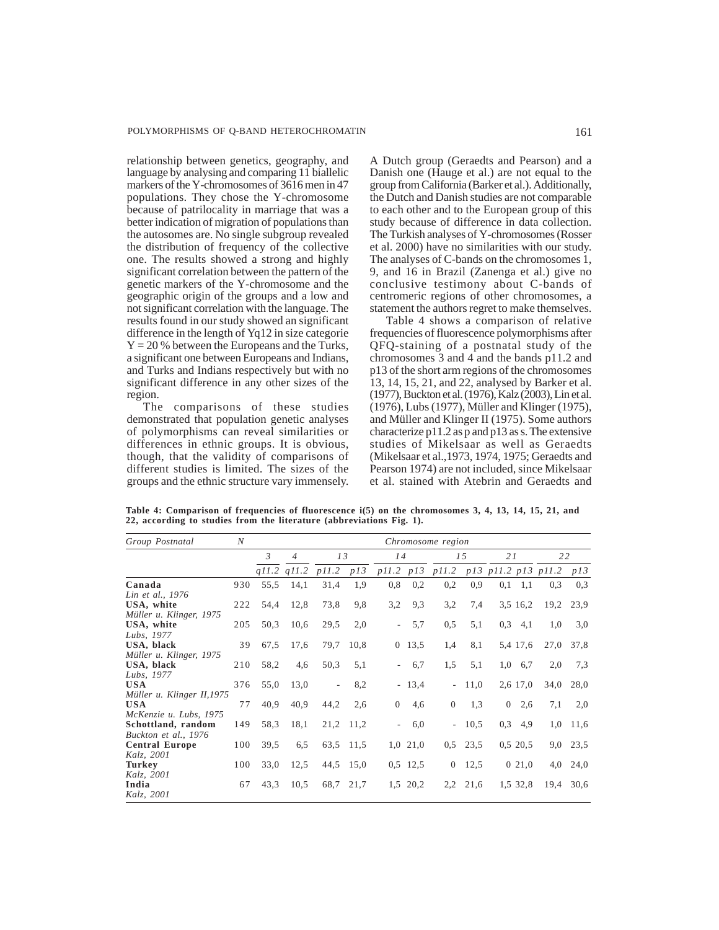relationship between genetics, geography, and language by analysing and comparing 11 biallelic markers of the Y-chromosomes of 3616 men in 47 populations. They chose the Y-chromosome because of patrilocality in marriage that was a better indication of migration of populations than the autosomes are. No single subgroup revealed the distribution of frequency of the collective one. The results showed a strong and highly significant correlation between the pattern of the genetic markers of the Y-chromosome and the geographic origin of the groups and a low and not significant correlation with the language. The results found in our study showed an significant difference in the length of Yq12 in size categorie  $Y = 20\%$  between the Europeans and the Turks, a significant one between Europeans and Indians, and Turks and Indians respectively but with no significant difference in any other sizes of the region.

The comparisons of these studies demonstrated that population genetic analyses of polymorphisms can reveal similarities or differences in ethnic groups. It is obvious, though, that the validity of comparisons of different studies is limited. The sizes of the groups and the ethnic structure vary immensely. A Dutch group (Geraedts and Pearson) and a Danish one (Hauge et al.) are not equal to the group from California (Barker et al.). Additionally, the Dutch and Danish studies are not comparable to each other and to the European group of this study because of difference in data collection. The Turkish analyses of Y-chromosomes (Rosser et al. 2000) have no similarities with our study. The analyses of C-bands on the chromosomes 1, 9, and 16 in Brazil (Zanenga et al.) give no conclusive testimony about C-bands of centromeric regions of other chromosomes, a statement the authors regret to make themselves.

Table 4 shows a comparison of relative frequencies of fluorescence polymorphisms after QFQ-staining of a postnatal study of the chromosomes 3 and 4 and the bands p11.2 and p13 of the short arm regions of the chromosomes 13, 14, 15, 21, and 22, analysed by Barker et al. (1977), Buckton et al. (1976), Kalz (2003), Lin et al. (1976), Lubs (1977), Müller and Klinger (1975), and Müller and Klinger II (1975). Some authors characterize p11.2 as p and p13 as s. The extensive studies of Mikelsaar as well as Geraedts (Mikelsaar et al.,1973, 1974, 1975; Geraedts and Pearson 1974) are not included, since Mikelsaar et al. stained with Atebrin and Geraedts and

**Table 4: Comparison of frequencies of fluorescence i(5) on the chromosomes 3, 4, 13, 14, 15, 21, and 22, according to studies from the literature (abbreviations Fig. 1).**

| Group Postnatal                                           | N   | Chromosome region |                 |       |           |                     |            |                                     |      |                |          |      |      |
|-----------------------------------------------------------|-----|-------------------|-----------------|-------|-----------|---------------------|------------|-------------------------------------|------|----------------|----------|------|------|
|                                                           |     | $\mathfrak{Z}$    | $\overline{4}$  | 13    |           | 14                  |            | 15                                  |      | 21             |          | 22   |      |
|                                                           |     |                   | $q11.2$ $q11.2$ | p11.2 | p13       |                     |            | p11.2 p13 p11.2 p13 p11.2 p13 p11.2 |      |                |          |      | p13  |
| Canada                                                    | 930 | 55,5              | 14,1            | 31,4  | 1,9       | 0,8                 | 0,2        | 0,2                                 | 0,9  | 0,1            | 1,1      | 0.3  | 0.3  |
| Lin et al., 1976<br>USA, white<br>Müller u. Klinger, 1975 | 222 | 54,4              | 12,8            | 73,8  | 9,8       | 3,2                 | 9,3        | 3,2                                 | 7,4  |                | 3.5 16.2 | 19,2 | 23,9 |
| USA, white<br>Lubs, 1977                                  | 205 | 50,3              | 10,6            | 29,5  | 2,0       | $\mathcal{L}^{\pm}$ | 5,7        | 0,5                                 | 5,1  | 0,3            | 4,1      | 1,0  | 3,0  |
| USA, black<br>Müller u. Klinger, 1975                     | 39  | 67,5              | 17,6            | 79,7  | 10.8      | $\overline{0}$      | 13,5       | 1,4                                 | 8,1  |                | 5,4 17,6 | 27,0 | 37,8 |
| USA, black<br>Lubs, 1977                                  | 210 | 58,2              | 4,6             | 50,3  | 5,1       |                     | 6,7        | 1,5                                 | 5,1  | 1,0            | 6,7      | 2,0  | 7,3  |
| <b>USA</b><br>Müller u. Klinger II, 1975                  | 376 | 55,0              | 13,0            | ٠     | 8,2       |                     | $-13,4$    | $\sim$ $-$                          | 11,0 |                | 2,6 17,0 | 34,0 | 28,0 |
| <b>USA</b><br>McKenzie u. Lubs, 1975                      | 77  | 40,9              | 40,9            | 44,2  | 2,6       | $\overline{0}$      | 4,6        | $\overline{0}$                      | 1,3  | $\overline{0}$ | 2.6      | 7,1  | 2,0  |
| Schottland, random<br>Buckton et al., 1976                | 149 | 58,3              | 18,1            |       | 21,2 11,2 |                     | 6,0        | $\sim$                              | 10,5 | 0,3            | 4,9      | 1,0  | 11,6 |
| <b>Central Europe</b><br>Kalz, 2001                       | 100 | 39,5              | 6,5             | 63,5  | 11,5      |                     | $1,0$ 21,0 | 0,5                                 | 23,5 |                | 0,5,20,5 | 9,0  | 23,5 |
| <b>Turkey</b><br>Kalz, 2001                               | 100 | 33,0              | 12,5            | 44,5  | 15,0      |                     | $0.5$ 12.5 | $\overline{0}$                      | 12,5 |                | 021,0    | 4,0  | 24,0 |
| India<br>Kalz, 2001                                       | 67  | 43,3              | 10,5            | 68,7  | 21,7      |                     | 1,5 20,2   | 2,2                                 | 21,6 |                | 1.5 32.8 | 19,4 | 30,6 |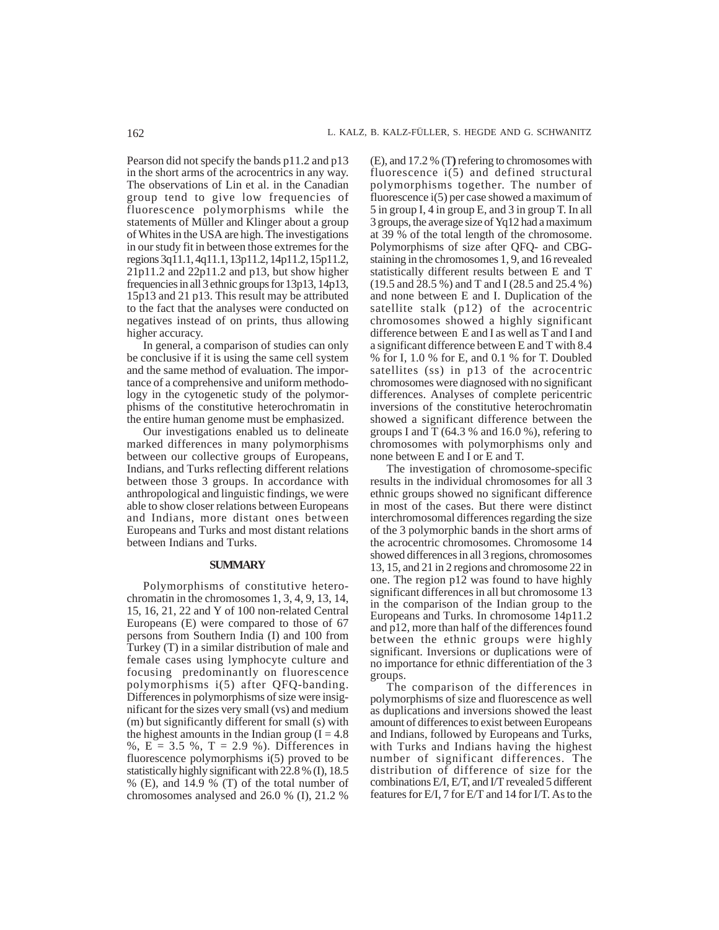Pearson did not specify the bands p11.2 and p13 in the short arms of the acrocentrics in any way. The observations of Lin et al. in the Canadian group tend to give low frequencies of fluorescence polymorphisms while the statements of Müller and Klinger about a group of Whites in the USA are high. The investigations in our study fit in between those extremes for the regions 3q11.1, 4q11.1, 13p11.2, 14p11.2, 15p11.2, 21p11.2 and 22p11.2 and p13, but show higher frequencies in all 3 ethnic groups for 13p13, 14p13, 15p13 and 21 p13. This result may be attributed to the fact that the analyses were conducted on negatives instead of on prints, thus allowing higher accuracy.

In general, a comparison of studies can only be conclusive if it is using the same cell system and the same method of evaluation. The importance of a comprehensive and uniform methodology in the cytogenetic study of the polymorphisms of the constitutive heterochromatin in the entire human genome must be emphasized.

Our investigations enabled us to delineate marked differences in many polymorphisms between our collective groups of Europeans, Indians, and Turks reflecting different relations between those 3 groups. In accordance with anthropological and linguistic findings, we were able to show closer relations between Europeans and Indians, more distant ones between Europeans and Turks and most distant relations between Indians and Turks.

#### **SUMMARY**

Polymorphisms of constitutive heterochromatin in the chromosomes 1, 3, 4, 9, 13, 14, 15, 16, 21, 22 and Y of 100 non-related Central Europeans (E) were compared to those of 67 persons from Southern India (I) and 100 from Turkey (T) in a similar distribution of male and female cases using lymphocyte culture and focusing predominantly on fluorescence polymorphisms i(5) after QFQ-banding. Differences in polymorphisms of size were insignificant for the sizes very small (vs) and medium (m) but significantly different for small (s) with the highest amounts in the Indian group  $(I = 4.8)$ %,  $E = 3.5$  %,  $T = 2.9$  %). Differences in fluorescence polymorphisms i(5) proved to be statistically highly significant with 22.8 % (I), 18.5 % (E), and 14.9 % (T) of the total number of chromosomes analysed and 26.0 % (I), 21.2 %

(E), and 17.2 % (T**)** refering to chromosomes with fluorescence i(5) and defined structural polymorphisms together. The number of fluorescence i(5) per case showed a maximum of 5 in group I, 4 in group E, and 3 in group T. In all 3 groups, the average size of Yq12 had a maximum at 39 % of the total length of the chromosome. Polymorphisms of size after QFQ- and CBGstaining in the chromosomes 1, 9, and 16 revealed statistically different results between E and T (19.5 and 28.5 %) and T and I (28.5 and 25.4 %) and none between E and I. Duplication of the satellite stalk (p12) of the acrocentric chromosomes showed a highly significant difference between E and I as well as T and I and a significant difference between E and T with 8.4 % for I, 1.0 % for E, and 0.1 % for T. Doubled satellites (ss) in p13 of the acrocentric chromosomes were diagnosed with no significant differences. Analyses of complete pericentric inversions of the constitutive heterochromatin showed a significant difference between the groups I and T (64.3 % and 16.0 %), refering to chromosomes with polymorphisms only and none between E and I or E and T.

The investigation of chromosome-specific results in the individual chromosomes for all 3 ethnic groups showed no significant difference in most of the cases. But there were distinct interchromosomal differences regarding the size of the 3 polymorphic bands in the short arms of the acrocentric chromosomes. Chromosome 14 showed differences in all 3 regions, chromosomes 13, 15, and 21 in 2 regions and chromosome 22 in one. The region  $p12$  was found to have highly significant differences in all but chromosome 13 in the comparison of the Indian group to the Europeans and Turks. In chromosome 14p11.2 and p12, more than half of the differences found between the ethnic groups were highly significant. Inversions or duplications were of no importance for ethnic differentiation of the 3 groups.

The comparison of the differences in polymorphisms of size and fluorescence as well as duplications and inversions showed the least amount of differences to exist between Europeans and Indians, followed by Europeans and Turks, with Turks and Indians having the highest number of significant differences. The distribution of difference of size for the combinations E/I, E/T, and I/T revealed 5 different features for E/I, 7 for E/T and 14 for I/T. As to the